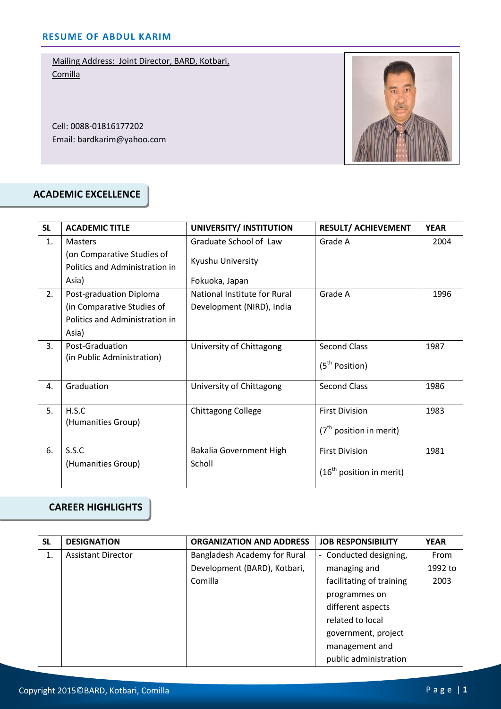Cell: 0088-01816177202 Email: bardkarim@yahoo.com



#### **ACADEMIC EXCELLENCE**

| <b>SL</b> | <b>ACADEMIC TITLE</b>                                        | UNIVERSITY/ INSTITUTION      | <b>RESULT/ ACHIEVEMENT</b> | <b>YEAR</b> |
|-----------|--------------------------------------------------------------|------------------------------|----------------------------|-------------|
| 1.        | <b>Masters</b>                                               | Graduate School of Law       | Grade A                    | 2004        |
|           | (on Comparative Studies of<br>Politics and Administration in | Kyushu University            |                            |             |
|           | Asia)                                                        | Fokuoka, Japan               |                            |             |
| 2.        | Post-graduation Diploma                                      | National Institute for Rural | Grade A                    | 1996        |
|           | (in Comparative Studies of                                   | Development (NIRD), India    |                            |             |
|           | Politics and Administration in                               |                              |                            |             |
|           | Asia)                                                        |                              |                            |             |
| 3.        | Post-Graduation                                              | University of Chittagong     | <b>Second Class</b>        | 1987        |
|           | (in Public Administration)                                   |                              | (5 <sup>th</sup> Position) |             |
| 4.        | Graduation                                                   | University of Chittagong     | <b>Second Class</b>        | 1986        |
| 5.        | H.S.C                                                        | <b>Chittagong College</b>    | <b>First Division</b>      | 1983        |
|           | (Humanities Group)                                           |                              | $(7th$ position in merit)  |             |
| 6.        | S.S.C                                                        | Bakalia Government High      | <b>First Division</b>      | 1981        |
|           | (Humanities Group)                                           | Scholl                       | $(16th$ position in merit) |             |

### **CAREER HIGHLIGHTS**

| <b>SL</b> | <b>DESIGNATION</b>        | <b>ORGANIZATION AND ADDRESS</b> | <b>JOB RESPONSIBILITY</b> | <b>YEAR</b> |
|-----------|---------------------------|---------------------------------|---------------------------|-------------|
| 1.        | <b>Assistant Director</b> | Bangladesh Academy for Rural    | - Conducted designing,    | From        |
|           |                           | Development (BARD), Kotbari,    | managing and              | 1992 to     |
|           |                           | Comilla                         | facilitating of training  | 2003        |
|           |                           |                                 | programmes on             |             |
|           |                           |                                 | different aspects         |             |
|           |                           |                                 | related to local          |             |
|           |                           |                                 | government, project       |             |
|           |                           |                                 | management and            |             |
|           |                           |                                 | public administration     |             |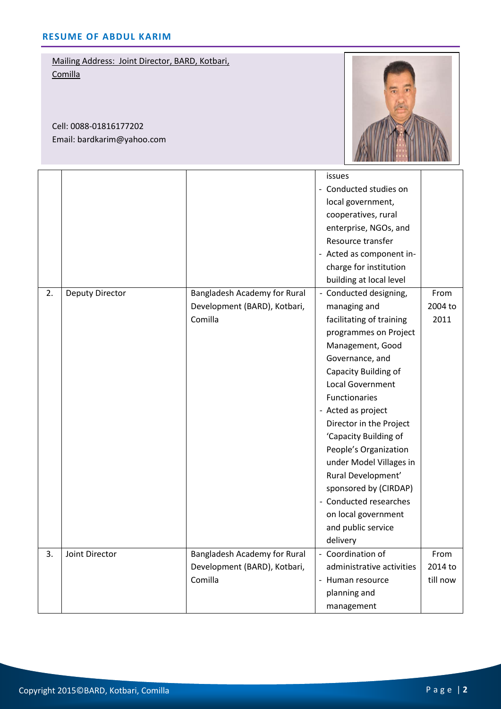Cell: 0088-01816177202 Email: bardkarim@yahoo.com



|    |                        |                              | issues                    |          |
|----|------------------------|------------------------------|---------------------------|----------|
|    |                        |                              | - Conducted studies on    |          |
|    |                        |                              | local government,         |          |
|    |                        |                              | cooperatives, rural       |          |
|    |                        |                              | enterprise, NGOs, and     |          |
|    |                        |                              | Resource transfer         |          |
|    |                        |                              | - Acted as component in-  |          |
|    |                        |                              | charge for institution    |          |
|    |                        |                              | building at local level   |          |
| 2. | <b>Deputy Director</b> | Bangladesh Academy for Rural | - Conducted designing,    | From     |
|    |                        | Development (BARD), Kotbari, | managing and              | 2004 to  |
|    |                        | Comilla                      | facilitating of training  | 2011     |
|    |                        |                              | programmes on Project     |          |
|    |                        |                              | Management, Good          |          |
|    |                        |                              | Governance, and           |          |
|    |                        |                              | Capacity Building of      |          |
|    |                        |                              | Local Government          |          |
|    |                        |                              | Functionaries             |          |
|    |                        |                              | - Acted as project        |          |
|    |                        |                              | Director in the Project   |          |
|    |                        |                              | 'Capacity Building of     |          |
|    |                        |                              | People's Organization     |          |
|    |                        |                              | under Model Villages in   |          |
|    |                        |                              | Rural Development'        |          |
|    |                        |                              | sponsored by (CIRDAP)     |          |
|    |                        |                              | - Conducted researches    |          |
|    |                        |                              | on local government       |          |
|    |                        |                              | and public service        |          |
|    |                        |                              | delivery                  |          |
| 3. | Joint Director         | Bangladesh Academy for Rural | - Coordination of         | From     |
|    |                        | Development (BARD), Kotbari, | administrative activities | 2014 to  |
|    |                        | Comilla                      | - Human resource          | till now |
|    |                        |                              | planning and              |          |
|    |                        |                              | management                |          |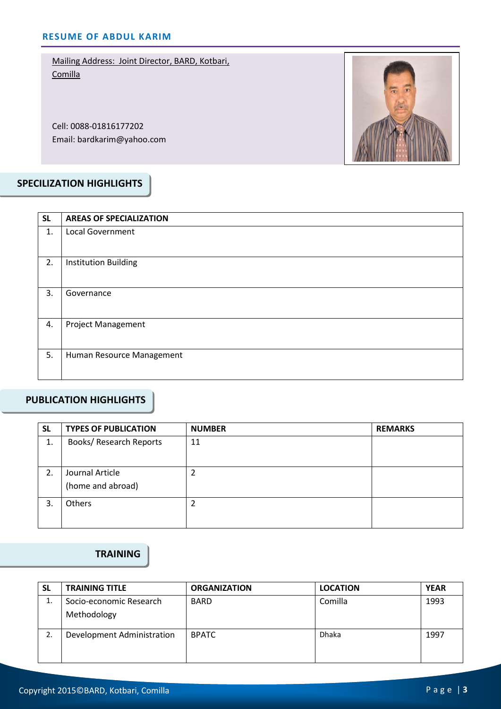Cell: 0088-01816177202 Email: bardkarim@yahoo.com



# **SPECILIZATION HIGHLIGHTS**

| <b>SL</b> | <b>AREAS OF SPECIALIZATION</b> |
|-----------|--------------------------------|
| 1.        | <b>Local Government</b>        |
| 2.        | Institution Building           |
| 3.        | Governance                     |
| 4.        | <b>Project Management</b>      |
| 5.        | Human Resource Management      |

#### **PUBLICATION HIGHLIGHTS**

| <b>SL</b> | <b>TYPES OF PUBLICATION</b>          | <b>NUMBER</b> | <b>REMARKS</b> |
|-----------|--------------------------------------|---------------|----------------|
| 1.        | <b>Books/ Research Reports</b>       | 11            |                |
| 2.        | Journal Article<br>(home and abroad) |               |                |
| 3.        | Others                               |               |                |

#### **TRAINING**

| <b>SL</b> | <b>TRAINING TITLE</b>      | <b>ORGANIZATION</b> | <b>LOCATION</b> | <b>YEAR</b> |
|-----------|----------------------------|---------------------|-----------------|-------------|
| ᅭ.        | Socio-economic Research    | <b>BARD</b>         | Comilla         | 1993        |
|           | Methodology                |                     |                 |             |
| 2.        | Development Administration | <b>BPATC</b>        | <b>Dhaka</b>    | 1997        |